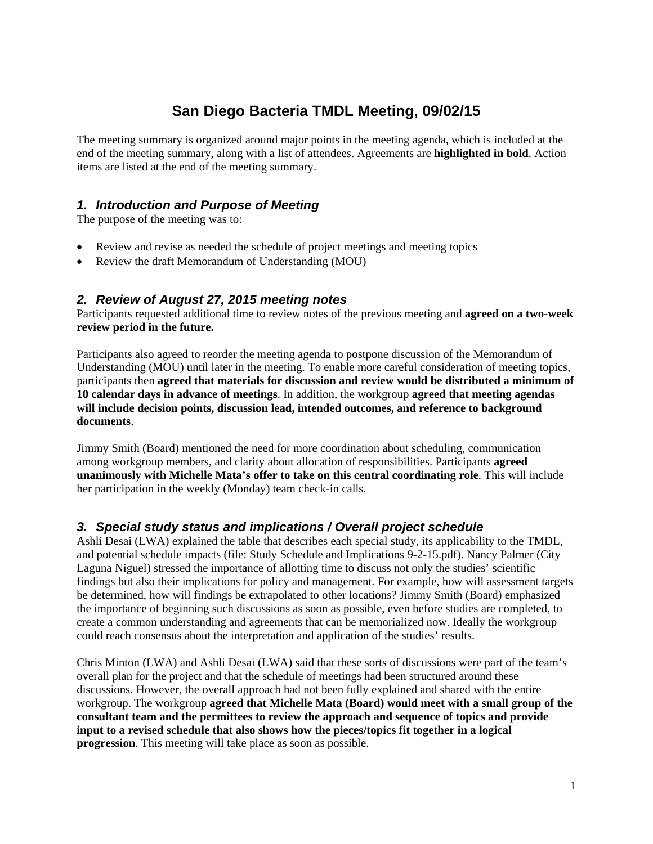# **San Diego Bacteria TMDL Meeting, 09/02/15**

The meeting summary is organized around major points in the meeting agenda, which is included at the end of the meeting summary, along with a list of attendees. Agreements are **highlighted in bold**. Action items are listed at the end of the meeting summary.

# *1. Introduction and Purpose of Meeting*

The purpose of the meeting was to:

- Review and revise as needed the schedule of project meetings and meeting topics
- Review the draft Memorandum of Understanding (MOU)

#### *2. Review of August 27, 2015 meeting notes*

Participants requested additional time to review notes of the previous meeting and **agreed on a two-week review period in the future.** 

Participants also agreed to reorder the meeting agenda to postpone discussion of the Memorandum of Understanding (MOU) until later in the meeting. To enable more careful consideration of meeting topics, participants then **agreed that materials for discussion and review would be distributed a minimum of 10 calendar days in advance of meetings**. In addition, the workgroup **agreed that meeting agendas will include decision points, discussion lead, intended outcomes, and reference to background documents**.

Jimmy Smith (Board) mentioned the need for more coordination about scheduling, communication among workgroup members, and clarity about allocation of responsibilities. Participants **agreed unanimously with Michelle Mata's offer to take on this central coordinating role**. This will include her participation in the weekly (Monday) team check-in calls.

## *3. Special study status and implications / Overall project schedule*

Ashli Desai (LWA) explained the table that describes each special study, its applicability to the TMDL, and potential schedule impacts (file: Study Schedule and Implications 9-2-15.pdf). Nancy Palmer (City Laguna Niguel) stressed the importance of allotting time to discuss not only the studies' scientific findings but also their implications for policy and management. For example, how will assessment targets be determined, how will findings be extrapolated to other locations? Jimmy Smith (Board) emphasized the importance of beginning such discussions as soon as possible, even before studies are completed, to create a common understanding and agreements that can be memorialized now. Ideally the workgroup could reach consensus about the interpretation and application of the studies' results.

Chris Minton (LWA) and Ashli Desai (LWA) said that these sorts of discussions were part of the team's overall plan for the project and that the schedule of meetings had been structured around these discussions. However, the overall approach had not been fully explained and shared with the entire workgroup. The workgroup **agreed that Michelle Mata (Board) would meet with a small group of the consultant team and the permittees to review the approach and sequence of topics and provide input to a revised schedule that also shows how the pieces/topics fit together in a logical progression**. This meeting will take place as soon as possible.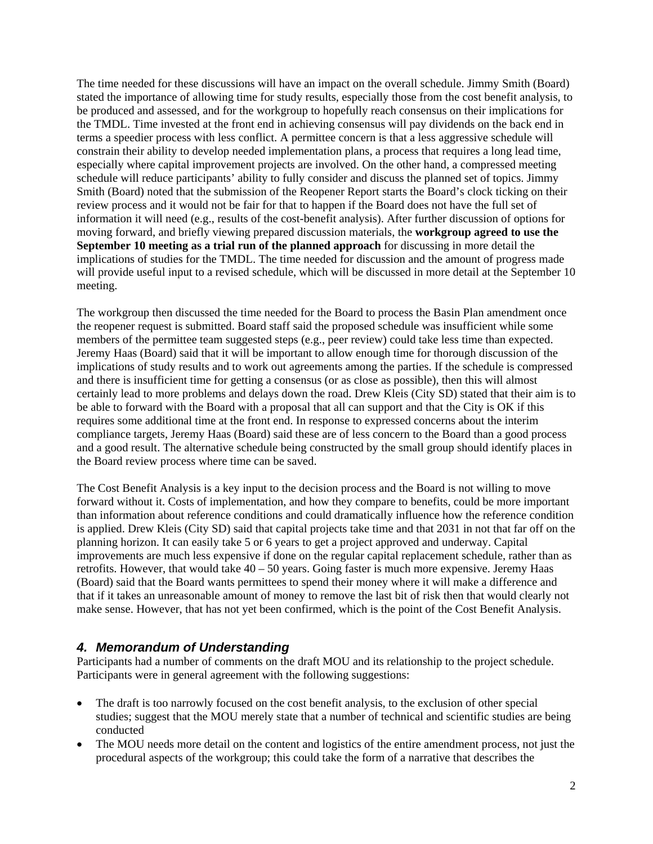The time needed for these discussions will have an impact on the overall schedule. Jimmy Smith (Board) stated the importance of allowing time for study results, especially those from the cost benefit analysis, to be produced and assessed, and for the workgroup to hopefully reach consensus on their implications for the TMDL. Time invested at the front end in achieving consensus will pay dividends on the back end in terms a speedier process with less conflict. A permittee concern is that a less aggressive schedule will constrain their ability to develop needed implementation plans, a process that requires a long lead time, especially where capital improvement projects are involved. On the other hand, a compressed meeting schedule will reduce participants' ability to fully consider and discuss the planned set of topics. Jimmy Smith (Board) noted that the submission of the Reopener Report starts the Board's clock ticking on their review process and it would not be fair for that to happen if the Board does not have the full set of information it will need (e.g., results of the cost-benefit analysis). After further discussion of options for moving forward, and briefly viewing prepared discussion materials, the **workgroup agreed to use the September 10 meeting as a trial run of the planned approach** for discussing in more detail the implications of studies for the TMDL. The time needed for discussion and the amount of progress made will provide useful input to a revised schedule, which will be discussed in more detail at the September 10 meeting.

The workgroup then discussed the time needed for the Board to process the Basin Plan amendment once the reopener request is submitted. Board staff said the proposed schedule was insufficient while some members of the permittee team suggested steps (e.g., peer review) could take less time than expected. Jeremy Haas (Board) said that it will be important to allow enough time for thorough discussion of the implications of study results and to work out agreements among the parties. If the schedule is compressed and there is insufficient time for getting a consensus (or as close as possible), then this will almost certainly lead to more problems and delays down the road. Drew Kleis (City SD) stated that their aim is to be able to forward with the Board with a proposal that all can support and that the City is OK if this requires some additional time at the front end. In response to expressed concerns about the interim compliance targets, Jeremy Haas (Board) said these are of less concern to the Board than a good process and a good result. The alternative schedule being constructed by the small group should identify places in the Board review process where time can be saved.

The Cost Benefit Analysis is a key input to the decision process and the Board is not willing to move forward without it. Costs of implementation, and how they compare to benefits, could be more important than information about reference conditions and could dramatically influence how the reference condition is applied. Drew Kleis (City SD) said that capital projects take time and that 2031 in not that far off on the planning horizon. It can easily take 5 or 6 years to get a project approved and underway. Capital improvements are much less expensive if done on the regular capital replacement schedule, rather than as retrofits. However, that would take  $40 - 50$  years. Going faster is much more expensive. Jeremy Haas (Board) said that the Board wants permittees to spend their money where it will make a difference and that if it takes an unreasonable amount of money to remove the last bit of risk then that would clearly not make sense. However, that has not yet been confirmed, which is the point of the Cost Benefit Analysis.

## *4. Memorandum of Understanding*

Participants had a number of comments on the draft MOU and its relationship to the project schedule. Participants were in general agreement with the following suggestions:

- The draft is too narrowly focused on the cost benefit analysis, to the exclusion of other special studies; suggest that the MOU merely state that a number of technical and scientific studies are being conducted
- The MOU needs more detail on the content and logistics of the entire amendment process, not just the procedural aspects of the workgroup; this could take the form of a narrative that describes the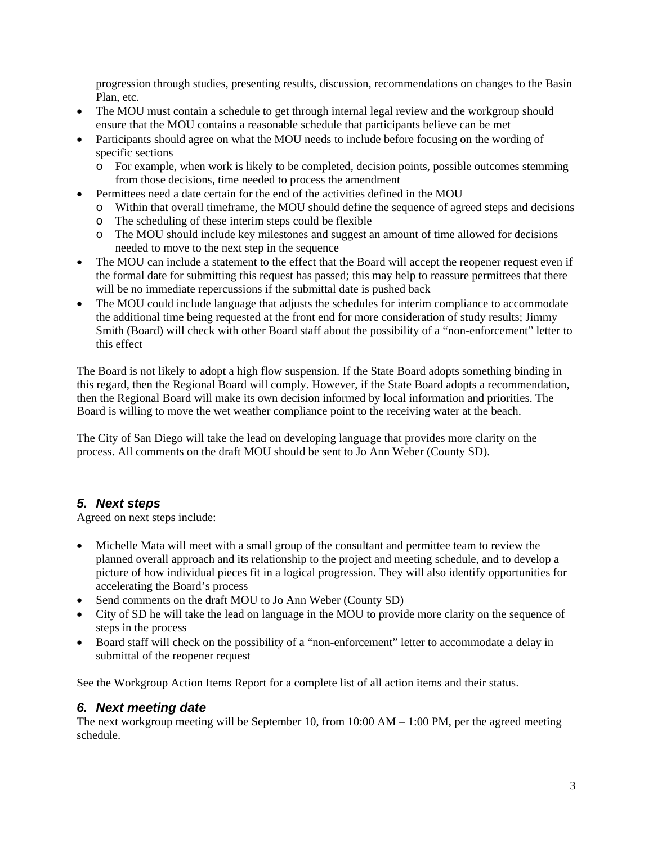progression through studies, presenting results, discussion, recommendations on changes to the Basin Plan, etc.

- The MOU must contain a schedule to get through internal legal review and the workgroup should ensure that the MOU contains a reasonable schedule that participants believe can be met
- Participants should agree on what the MOU needs to include before focusing on the wording of specific sections
	- o For example, when work is likely to be completed, decision points, possible outcomes stemming from those decisions, time needed to process the amendment
- Permittees need a date certain for the end of the activities defined in the MOU
	- o Within that overall timeframe, the MOU should define the sequence of agreed steps and decisions
	- o The scheduling of these interim steps could be flexible
	- o The MOU should include key milestones and suggest an amount of time allowed for decisions needed to move to the next step in the sequence
- The MOU can include a statement to the effect that the Board will accept the reopener request even if the formal date for submitting this request has passed; this may help to reassure permittees that there will be no immediate repercussions if the submittal date is pushed back
- The MOU could include language that adjusts the schedules for interim compliance to accommodate the additional time being requested at the front end for more consideration of study results; Jimmy Smith (Board) will check with other Board staff about the possibility of a "non-enforcement" letter to this effect

The Board is not likely to adopt a high flow suspension. If the State Board adopts something binding in this regard, then the Regional Board will comply. However, if the State Board adopts a recommendation, then the Regional Board will make its own decision informed by local information and priorities. The Board is willing to move the wet weather compliance point to the receiving water at the beach.

The City of San Diego will take the lead on developing language that provides more clarity on the process. All comments on the draft MOU should be sent to Jo Ann Weber (County SD).

## *5. Next steps*

Agreed on next steps include:

- Michelle Mata will meet with a small group of the consultant and permittee team to review the planned overall approach and its relationship to the project and meeting schedule, and to develop a picture of how individual pieces fit in a logical progression. They will also identify opportunities for accelerating the Board's process
- Send comments on the draft MOU to Jo Ann Weber (County SD)
- City of SD he will take the lead on language in the MOU to provide more clarity on the sequence of steps in the process
- Board staff will check on the possibility of a "non-enforcement" letter to accommodate a delay in submittal of the reopener request

See the Workgroup Action Items Report for a complete list of all action items and their status.

## *6. Next meeting date*

The next workgroup meeting will be September 10, from  $10:00$  AM  $- 1:00$  PM, per the agreed meeting schedule.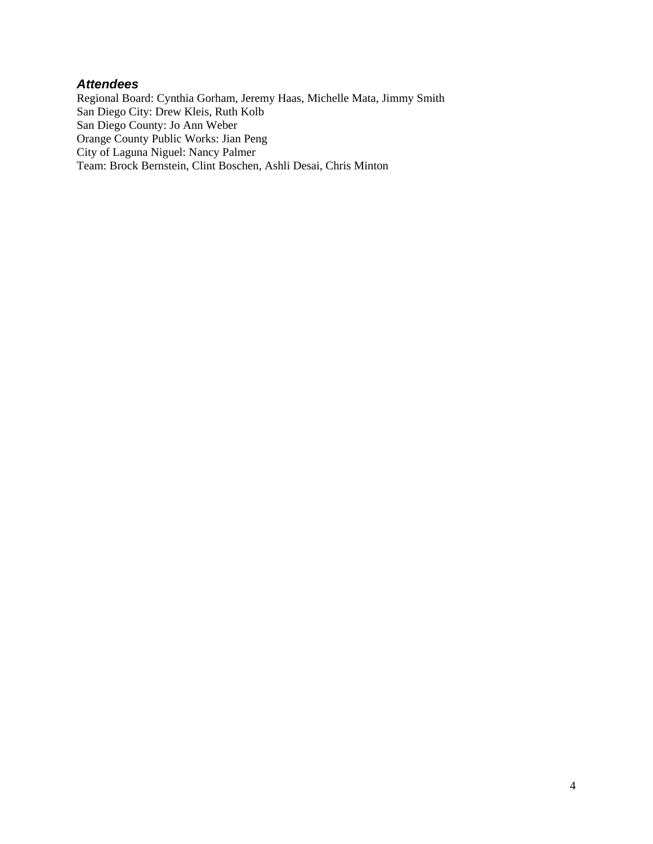#### *Attendees*

Regional Board: Cynthia Gorham, Jeremy Haas, Michelle Mata, Jimmy Smith San Diego City: Drew Kleis, Ruth Kolb San Diego County: Jo Ann Weber Orange County Public Works: Jian Peng City of Laguna Niguel: Nancy Palmer Team: Brock Bernstein, Clint Boschen, Ashli Desai, Chris Minton